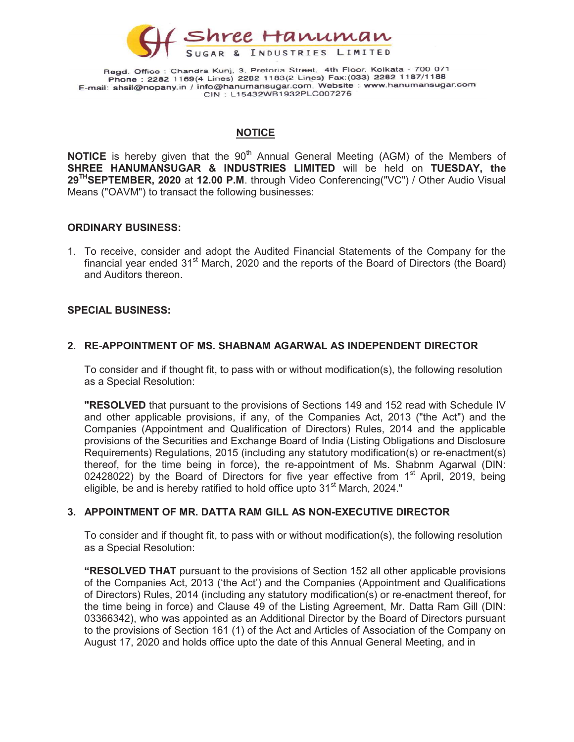

## **NOTICE**

**NOTICE** is hereby given that the  $90<sup>th</sup>$  Annual General Meeting (AGM) of the Members of SHREE HANUMANSUGAR & INDUSTRIES LIMITED will be held on TUESDAY, the 29<sup>TH</sup>SEPTEMBER, 2020 at 12.00 P.M. through Video Conferencing("VC") / Other Audio Visual Means ("OAVM") to transact the following businesses:

#### ORDINARY BUSINESS:

1. To receive, consider and adopt the Audited Financial Statements of the Company for the financial year ended  $31<sup>st</sup>$  March, 2020 and the reports of the Board of Directors (the Board) and Auditors thereon.

#### SPECIAL BUSINESS:

## 2. RE-APPOINTMENT OF MS. SHABNAM AGARWAL AS INDEPENDENT DIRECTOR

To consider and if thought fit, to pass with or without modification(s), the following resolution as a Special Resolution:

**"RESOLVED** that pursuant to the provisions of Sections 149 and 152 read with Schedule IV and other applicable provisions, if any, of the Companies Act, 2013 ("the Act") and the Companies (Appointment and Qualification of Directors) Rules, 2014 and the applicable provisions of the Securities and Exchange Board of India (Listing Obligations and Disclosure Requirements) Regulations, 2015 (including any statutory modification(s) or re-enactment(s) thereof, for the time being in force), the re-appointment of Ms. Shabnm Agarwal (DIN: 02428022) by the Board of Directors for five year effective from  $1<sup>st</sup>$  April, 2019, being eligible, be and is hereby ratified to hold office upto 31<sup>st</sup> March, 2024."

#### 3. APPOINTMENT OF MR. DATTA RAM GILL AS NON-EXECUTIVE DIRECTOR

To consider and if thought fit, to pass with or without modification(s), the following resolution as a Special Resolution:

**"RESOLVED THAT** pursuant to the provisions of Section 152 all other applicable provisions of the Companies Act, 2013 ('the Act') and the Companies (Appointment and Qualifications of Directors) Rules, 2014 (including any statutory modification(s) or re-enactment thereof, for the time being in force) and Clause 49 of the Listing Agreement, Mr. Datta Ram Gill (DIN: 03366342), who was appointed as an Additional Director by the Board of Directors pursuant to the provisions of Section 161 (1) of the Act and Articles of Association of the Company on August 17, 2020 and holds office upto the date of this Annual General Meeting, and in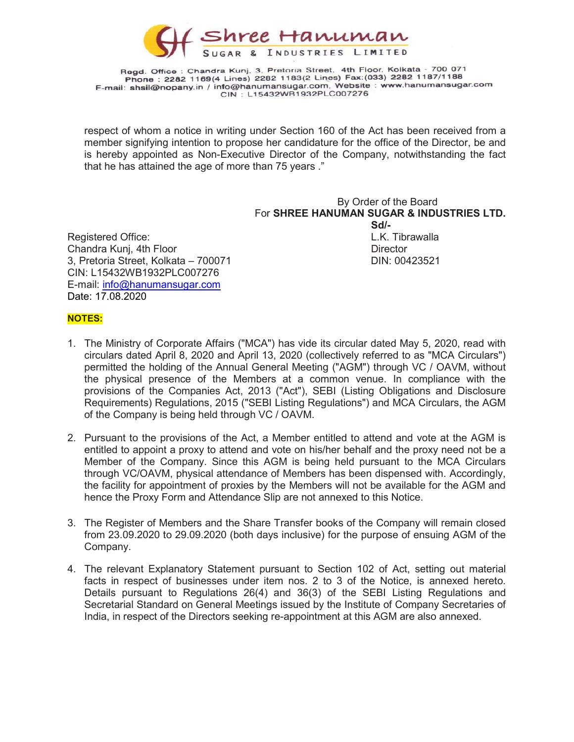

respect of whom a notice in writing under Section 160 of the Act has been received from a member signifying intention to propose her candidature for the office of the Director, be and is hereby appointed as Non-Executive Director of the Company, notwithstanding the fact that he has attained the age of more than 75 years ."

# By Order of the Board For SHREE HANUMAN SUGAR & INDUSTRIES LTD.  $S$ d/- $S$ d/- $S$ d/- $S$ d/- $S$ d/- $S$ d/- $S$ d/- $S$ d/- $S$ d/- $S$ d/- $S$ d/- $S$ d/- $S$ d/- $S$ d/- $S$ d/- $S$ d/- $S$ d/- $S$ d/- $S$ d/- $S$ d/- $S$ d/- $S$ d/- $S$ d/- $S$ d/- $S$ d/- $S$ d/- $S$ d/- $S$ d/- $S$ d/- $S$ d/- $S$ d/- $S$ d/- $S$ d/- $S$ d/- $S$ d/- $S$ d/- $S$ d/ Registered Office: Network and the U.K. Tibrawalla 3, Pretoria Street, Kolkata – 700071 DIN: 00423521

Chandra Kunj, 4th Floor Director Director Director CIN: L15432WB1932PLC007276 E-mail: info@hanumansugar.com Date: 17.08.2020

#### NOTES:

- 1. The Ministry of Corporate Affairs ("MCA") has vide its circular dated May 5, 2020, read with circulars dated April 8, 2020 and April 13, 2020 (collectively referred to as "MCA Circulars") permitted the holding of the Annual General Meeting ("AGM") through VC / OAVM, without the physical presence of the Members at a common venue. In compliance with the provisions of the Companies Act, 2013 ("Act"), SEBI (Listing Obligations and Disclosure Requirements) Regulations, 2015 ("SEBI Listing Regulations") and MCA Circulars, the AGM of the Company is being held through VC / OAVM.
- 2. Pursuant to the provisions of the Act, a Member entitled to attend and vote at the AGM is entitled to appoint a proxy to attend and vote on his/her behalf and the proxy need not be a Member of the Company. Since this AGM is being held pursuant to the MCA Circulars through VC/OAVM, physical attendance of Members has been dispensed with. Accordingly, the facility for appointment of proxies by the Members will not be available for the AGM and hence the Proxy Form and Attendance Slip are not annexed to this Notice.
- 3. The Register of Members and the Share Transfer books of the Company will remain closed from 23.09.2020 to 29.09.2020 (both days inclusive) for the purpose of ensuing AGM of the Company.
- 4. The relevant Explanatory Statement pursuant to Section 102 of Act, setting out material facts in respect of businesses under item nos. 2 to 3 of the Notice, is annexed hereto. Details pursuant to Regulations 26(4) and 36(3) of the SEBI Listing Regulations and Secretarial Standard on General Meetings issued by the Institute of Company Secretaries of India, in respect of the Directors seeking re-appointment at this AGM are also annexed.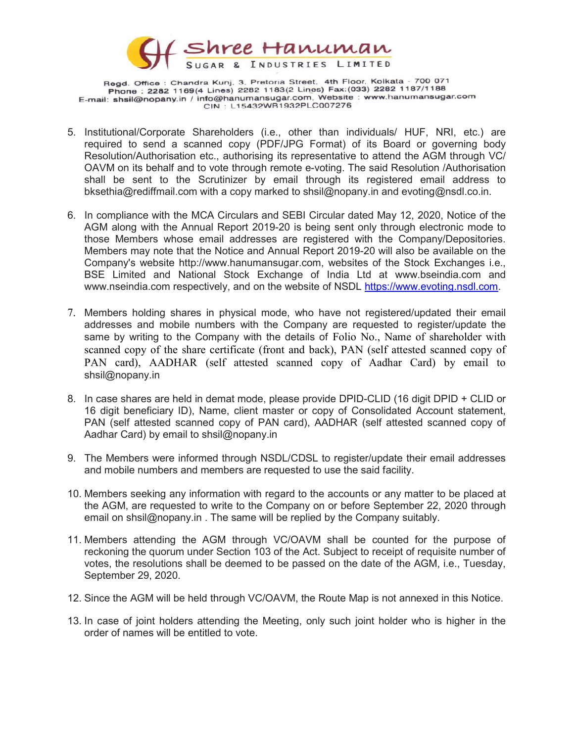

- 5. Institutional/Corporate Shareholders (i.e., other than individuals/ HUF, NRI, etc.) are required to send a scanned copy (PDF/JPG Format) of its Board or governing body Resolution/Authorisation etc., authorising its representative to attend the AGM through VC/ OAVM on its behalf and to vote through remote e-voting. The said Resolution /Authorisation shall be sent to the Scrutinizer by email through its registered email address to bksethia@rediffmail.com with a copy marked to shsil@nopany.in and evoting@nsdl.co.in.
- 6. In compliance with the MCA Circulars and SEBI Circular dated May 12, 2020, Notice of the AGM along with the Annual Report 2019-20 is being sent only through electronic mode to those Members whose email addresses are registered with the Company/Depositories. Members may note that the Notice and Annual Report 2019-20 will also be available on the Company's website http://www.hanumansugar.com, websites of the Stock Exchanges i.e., BSE Limited and National Stock Exchange of India Ltd at www.bseindia.com and www.nseindia.com respectively, and on the website of NSDL https://www.evoting.nsdl.com.
- 7. Members holding shares in physical mode, who have not registered/updated their email addresses and mobile numbers with the Company are requested to register/update the same by writing to the Company with the details of Folio No., Name of shareholder with scanned copy of the share certificate (front and back), PAN (self attested scanned copy of PAN card), AADHAR (self attested scanned copy of Aadhar Card) by email to shsil@nopany.in
- 8. In case shares are held in demat mode, please provide DPID-CLID (16 digit DPID + CLID or 16 digit beneficiary ID), Name, client master or copy of Consolidated Account statement, PAN (self attested scanned copy of PAN card), AADHAR (self attested scanned copy of Aadhar Card) by email to shsil@nopany.in
- 9. The Members were informed through NSDL/CDSL to register/update their email addresses and mobile numbers and members are requested to use the said facility.
- 10. Members seeking any information with regard to the accounts or any matter to be placed at the AGM, are requested to write to the Company on or before September 22, 2020 through email on shsil@nopany.in . The same will be replied by the Company suitably.
- 11. Members attending the AGM through VC/OAVM shall be counted for the purpose of reckoning the quorum under Section 103 of the Act. Subject to receipt of requisite number of votes, the resolutions shall be deemed to be passed on the date of the AGM, i.e., Tuesday, September 29, 2020.
- 12. Since the AGM will be held through VC/OAVM, the Route Map is not annexed in this Notice.
- 13. In case of joint holders attending the Meeting, only such joint holder who is higher in the order of names will be entitled to vote.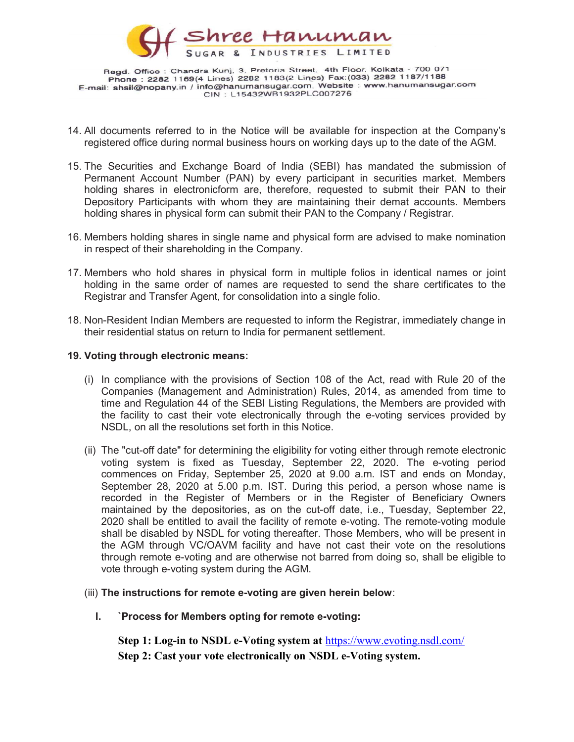

- 14. All documents referred to in the Notice will be available for inspection at the Company's registered office during normal business hours on working days up to the date of the AGM.
- 15. The Securities and Exchange Board of India (SEBI) has mandated the submission of Permanent Account Number (PAN) by every participant in securities market. Members holding shares in electronicform are, therefore, requested to submit their PAN to their Depository Participants with whom they are maintaining their demat accounts. Members holding shares in physical form can submit their PAN to the Company / Registrar.
- 16. Members holding shares in single name and physical form are advised to make nomination in respect of their shareholding in the Company.
- 17. Members who hold shares in physical form in multiple folios in identical names or joint holding in the same order of names are requested to send the share certificates to the Registrar and Transfer Agent, for consolidation into a single folio.
- 18. Non-Resident Indian Members are requested to inform the Registrar, immediately change in their residential status on return to India for permanent settlement.

#### 19. Voting through electronic means:

- (i) In compliance with the provisions of Section 108 of the Act, read with Rule 20 of the Companies (Management and Administration) Rules, 2014, as amended from time to time and Regulation 44 of the SEBI Listing Regulations, the Members are provided with the facility to cast their vote electronically through the e-voting services provided by NSDL, on all the resolutions set forth in this Notice.
- (ii) The "cut-off date" for determining the eligibility for voting either through remote electronic voting system is fixed as Tuesday, September 22, 2020. The e-voting period commences on Friday, September 25, 2020 at 9.00 a.m. IST and ends on Monday, September 28, 2020 at 5.00 p.m. IST. During this period, a person whose name is recorded in the Register of Members or in the Register of Beneficiary Owners maintained by the depositories, as on the cut-off date, i.e., Tuesday, September 22, 2020 shall be entitled to avail the facility of remote e-voting. The remote-voting module shall be disabled by NSDL for voting thereafter. Those Members, who will be present in the AGM through VC/OAVM facility and have not cast their vote on the resolutions through remote e-voting and are otherwise not barred from doing so, shall be eligible to vote through e-voting system during the AGM.

## (iii) The instructions for remote e-voting are given herein below:

I. `Process for Members opting for remote e-voting:

Step 1: Log-in to NSDL e-Voting system at https://www.evoting.nsdl.com/ Step 2: Cast your vote electronically on NSDL e-Voting system.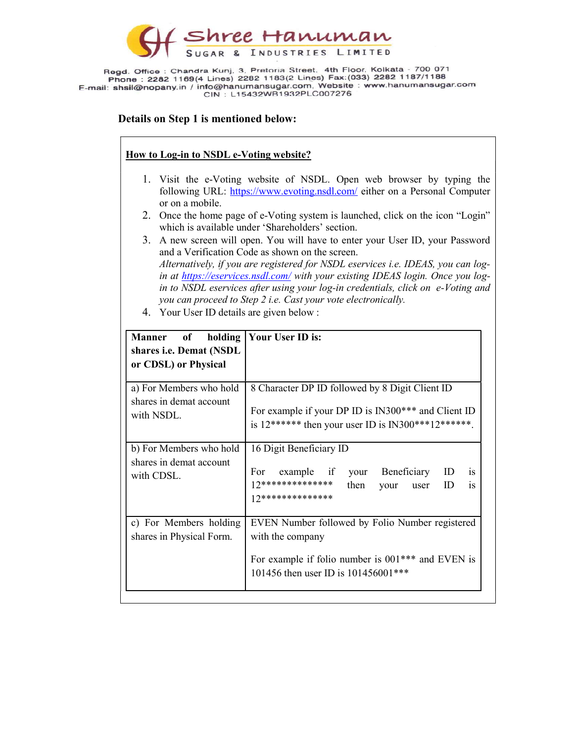

## Details on Step 1 is mentioned below:

## How to Log-in to NSDL e-Voting website?

- 1. Visit the e-Voting website of NSDL. Open web browser by typing the following URL: https://www.evoting.nsdl.com/ either on a Personal Computer or on a mobile.
- 2. Once the home page of e-Voting system is launched, click on the icon "Login" which is available under 'Shareholders' section.
- 3. A new screen will open. You will have to enter your User ID, your Password and a Verification Code as shown on the screen. Alternatively, if you are registered for NSDL eservices i.e. IDEAS, you can login at https://eservices.nsdl.com/ with your existing IDEAS login. Once you login to NSDL eservices after using your log-in credentials, click on e-Voting and you can proceed to Step 2 i.e. Cast your vote electronically.
- 4. Your User ID details are given below :

| Manner of holding<br>shares i.e. Demat (NSDL<br>or CDSL) or Physical | Your User ID is:                                                                                                                                                 |  |
|----------------------------------------------------------------------|------------------------------------------------------------------------------------------------------------------------------------------------------------------|--|
| a) For Members who hold<br>shares in demat account<br>with NSDL.     | 8 Character DP ID followed by 8 Digit Client ID<br>For example if your DP ID is IN300*** and Client ID<br>is 12****** then your user ID is IN300***12******.     |  |
| b) For Members who hold<br>shares in demat account<br>with CDSL.     | 16 Digit Beneficiary ID<br>For example if your Beneficiary<br>ID<br><i>is</i><br>$12**********************$<br>is<br>then<br>ID<br>your user<br>17************** |  |
| c) For Members holding<br>shares in Physical Form.                   | EVEN Number followed by Folio Number registered<br>with the company<br>For example if folio number is 001*** and EVEN is<br>101456 then user ID is 101456001***  |  |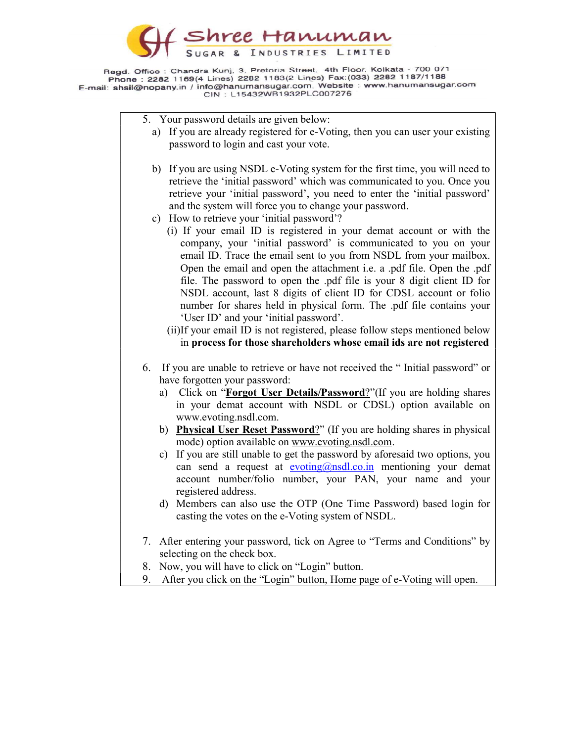

5. Your password details are given below:

- a) If you are already registered for e-Voting, then you can user your existing password to login and cast your vote.
- b) If you are using NSDL e-Voting system for the first time, you will need to retrieve the 'initial password' which was communicated to you. Once you retrieve your 'initial password', you need to enter the 'initial password' and the system will force you to change your password.
- c) How to retrieve your 'initial password'?
	- (i) If your email ID is registered in your demat account or with the company, your 'initial password' is communicated to you on your email ID. Trace the email sent to you from NSDL from your mailbox. Open the email and open the attachment i.e. a .pdf file. Open the .pdf file. The password to open the .pdf file is your 8 digit client ID for NSDL account, last 8 digits of client ID for CDSL account or folio number for shares held in physical form. The .pdf file contains your 'User ID' and your 'initial password'.
	- (ii)If your email ID is not registered, please follow steps mentioned below in process for those shareholders whose email ids are not registered
- 6. If you are unable to retrieve or have not received the " Initial password" or have forgotten your password:
	- a) Click on "Forgot User Details/Password?"(If you are holding shares in your demat account with NSDL or CDSL) option available on www.evoting.nsdl.com.
	- b) Physical User Reset Password?" (If you are holding shares in physical mode) option available on www.evoting.nsdl.com.
	- c) If you are still unable to get the password by aforesaid two options, you can send a request at evoting@nsdl.co.in mentioning your demat account number/folio number, your PAN, your name and your registered address.
	- d) Members can also use the OTP (One Time Password) based login for casting the votes on the e-Voting system of NSDL.
- 7. After entering your password, tick on Agree to "Terms and Conditions" by selecting on the check box.
- 8. Now, you will have to click on "Login" button.
- After you click on the "Login" button, Home page of e-Voting will open.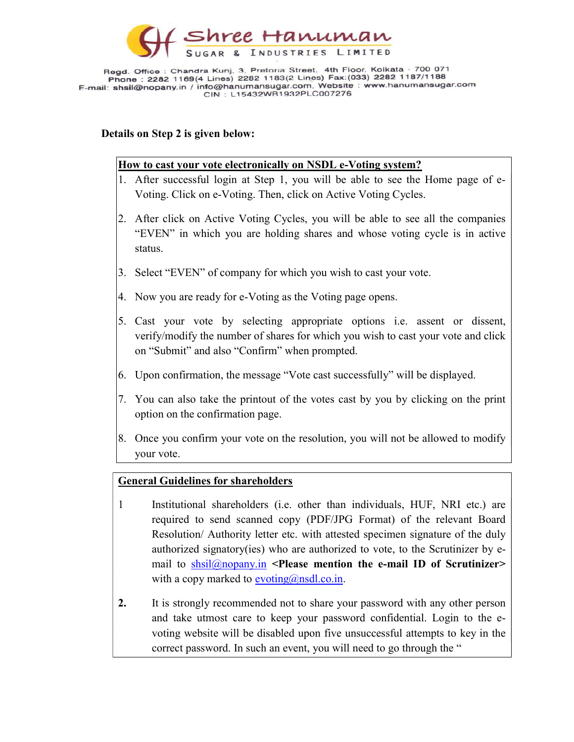

## Details on Step 2 is given below:

## How to cast your vote electronically on NSDL e-Voting system?

- 1. After successful login at Step 1, you will be able to see the Home page of e-Voting. Click on e-Voting. Then, click on Active Voting Cycles.
- 2. After click on Active Voting Cycles, you will be able to see all the companies "EVEN" in which you are holding shares and whose voting cycle is in active status.
- 3. Select "EVEN" of company for which you wish to cast your vote.
- 4. Now you are ready for e-Voting as the Voting page opens.
- 5. Cast your vote by selecting appropriate options i.e. assent or dissent, verify/modify the number of shares for which you wish to cast your vote and click on "Submit" and also "Confirm" when prompted.
- 6. Upon confirmation, the message "Vote cast successfully" will be displayed.
- 7. You can also take the printout of the votes cast by you by clicking on the print option on the confirmation page.
- 8. Once you confirm your vote on the resolution, you will not be allowed to modify your vote.

# General Guidelines for shareholders

- 1 Institutional shareholders (i.e. other than individuals, HUF, NRI etc.) are required to send scanned copy (PDF/JPG Format) of the relevant Board Resolution/ Authority letter etc. with attested specimen signature of the duly authorized signatory(ies) who are authorized to vote, to the Scrutinizer by email to  $shsil@nonpany.in$  <Please mention the e-mail ID of Scrutinizer> with a copy marked to  $evoting(\omega_{nsdl.co.in.})$
- 2. It is strongly recommended not to share your password with any other person and take utmost care to keep your password confidential. Login to the evoting website will be disabled upon five unsuccessful attempts to key in the correct password. In such an event, you will need to go through the "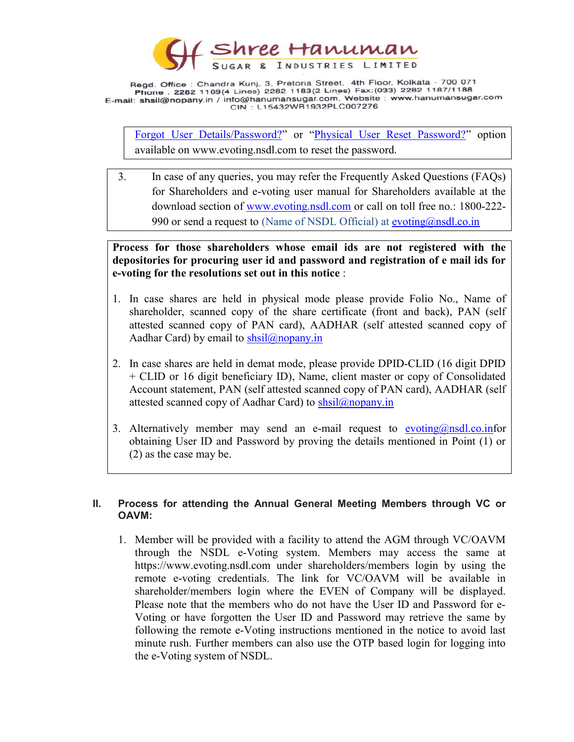

Forgot User Details/Password?" or "Physical User Reset Password?" option available on www.evoting.nsdl.com to reset the password.

3. In case of any queries, you may refer the Frequently Asked Questions (FAQs) for Shareholders and e-voting user manual for Shareholders available at the download section of www.evoting.nsdl.com or call on toll free no.: 1800-222- 990 or send a request to (Name of NSDL Official) at evoting@nsdl.co.in

# Process for those shareholders whose email ids are not registered with the depositories for procuring user id and password and registration of e mail ids for e-voting for the resolutions set out in this notice :

- 1. In case shares are held in physical mode please provide Folio No., Name of shareholder, scanned copy of the share certificate (front and back), PAN (self attested scanned copy of PAN card), AADHAR (self attested scanned copy of Aadhar Card) by email to  $shsil@nonpany.in$
- 2. In case shares are held in demat mode, please provide DPID-CLID (16 digit DPID + CLID or 16 digit beneficiary ID), Name, client master or copy of Consolidated Account statement, PAN (self attested scanned copy of PAN card), AADHAR (self attested scanned copy of Aadhar Card) to  $shsil@nopany.in$
- 3. Alternatively member may send an e-mail request to evoting@nsdl.co.infor obtaining User ID and Password by proving the details mentioned in Point (1) or (2) as the case may be.

## II. Process for attending the Annual General Meeting Members through VC or OAVM:

1. Member will be provided with a facility to attend the AGM through VC/OAVM through the NSDL e-Voting system. Members may access the same at https://www.evoting.nsdl.com under shareholders/members login by using the remote e-voting credentials. The link for VC/OAVM will be available in shareholder/members login where the EVEN of Company will be displayed. Please note that the members who do not have the User ID and Password for e-Voting or have forgotten the User ID and Password may retrieve the same by following the remote e-Voting instructions mentioned in the notice to avoid last minute rush. Further members can also use the OTP based login for logging into the e-Voting system of NSDL.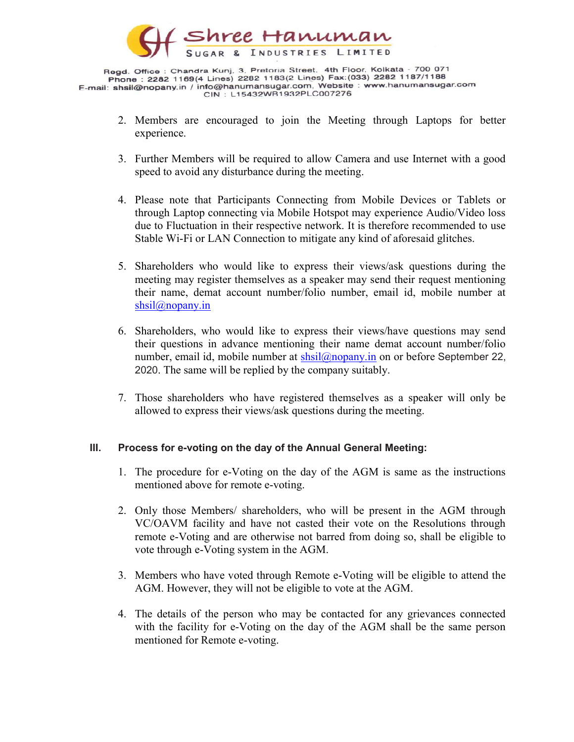

- 2. Members are encouraged to join the Meeting through Laptops for better experience.
- 3. Further Members will be required to allow Camera and use Internet with a good speed to avoid any disturbance during the meeting.
- 4. Please note that Participants Connecting from Mobile Devices or Tablets or through Laptop connecting via Mobile Hotspot may experience Audio/Video loss due to Fluctuation in their respective network. It is therefore recommended to use Stable Wi-Fi or LAN Connection to mitigate any kind of aforesaid glitches.
- 5. Shareholders who would like to express their views/ask questions during the meeting may register themselves as a speaker may send their request mentioning their name, demat account number/folio number, email id, mobile number at shsil@nopany.in
- 6. Shareholders, who would like to express their views/have questions may send their questions in advance mentioning their name demat account number/folio number, email id, mobile number at  $shsil@nonany.in$  on or before September 22, 2020. The same will be replied by the company suitably.
- 7. Those shareholders who have registered themselves as a speaker will only be allowed to express their views/ask questions during the meeting.

# III. Process for e-voting on the day of the Annual General Meeting:

- 1. The procedure for e-Voting on the day of the AGM is same as the instructions mentioned above for remote e-voting.
- 2. Only those Members/ shareholders, who will be present in the AGM through VC/OAVM facility and have not casted their vote on the Resolutions through remote e-Voting and are otherwise not barred from doing so, shall be eligible to vote through e-Voting system in the AGM.
- 3. Members who have voted through Remote e-Voting will be eligible to attend the AGM. However, they will not be eligible to vote at the AGM.
- 4. The details of the person who may be contacted for any grievances connected with the facility for e-Voting on the day of the AGM shall be the same person mentioned for Remote e-voting.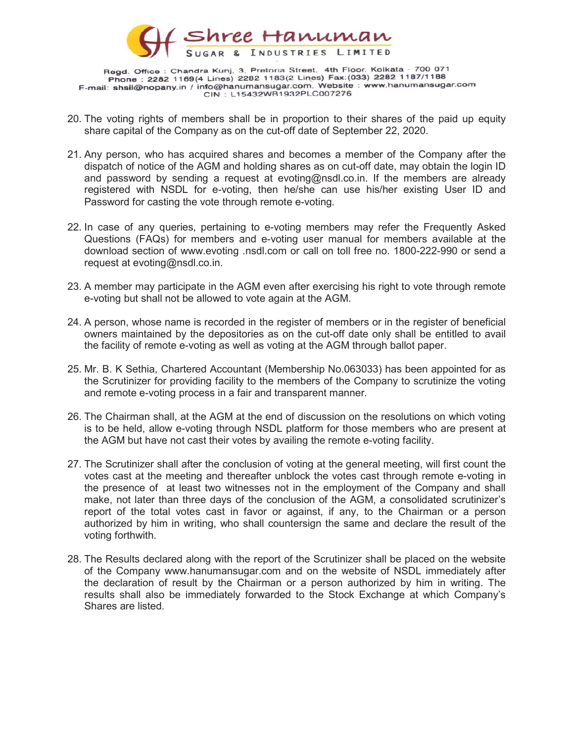

- 20. The voting rights of members shall be in proportion to their shares of the paid up equity share capital of the Company as on the cut-off date of September 22, 2020.
- 21. Any person, who has acquired shares and becomes a member of the Company after the dispatch of notice of the AGM and holding shares as on cut-off date, may obtain the login ID and password by sending a request at evoting@nsdl.co.in. If the members are already registered with NSDL for e-voting, then he/she can use his/her existing User ID and Password for casting the vote through remote e-voting.
- 22. In case of any queries, pertaining to e-voting members may refer the Frequently Asked Questions (FAQs) for members and e-voting user manual for members available at the download section of www.evoting .nsdl.com or call on toll free no. 1800-222-990 or send a request at evoting@nsdl.co.in.
- 23. A member may participate in the AGM even after exercising his right to vote through remote e-voting but shall not be allowed to vote again at the AGM.
- 24. A person, whose name is recorded in the register of members or in the register of beneficial owners maintained by the depositories as on the cut-off date only shall be entitled to avail the facility of remote e-voting as well as voting at the AGM through ballot paper.
- 25. Mr. B. K Sethia, Chartered Accountant (Membership No.063033) has been appointed for as the Scrutinizer for providing facility to the members of the Company to scrutinize the voting and remote e-voting process in a fair and transparent manner.
- 26. The Chairman shall, at the AGM at the end of discussion on the resolutions on which voting is to be held, allow e-voting through NSDL platform for those members who are present at the AGM but have not cast their votes by availing the remote e-voting facility.
- 27. The Scrutinizer shall after the conclusion of voting at the general meeting, will first count the votes cast at the meeting and thereafter unblock the votes cast through remote e-voting in the presence of at least two witnesses not in the employment of the Company and shall make, not later than three days of the conclusion of the AGM, a consolidated scrutinizer's report of the total votes cast in favor or against, if any, to the Chairman or a person authorized by him in writing, who shall countersign the same and declare the result of the voting forthwith.
- 28. The Results declared along with the report of the Scrutinizer shall be placed on the website of the Company www.hanumansugar.com and on the website of NSDL immediately after the declaration of result by the Chairman or a person authorized by him in writing. The results shall also be immediately forwarded to the Stock Exchange at which Company's Shares are listed.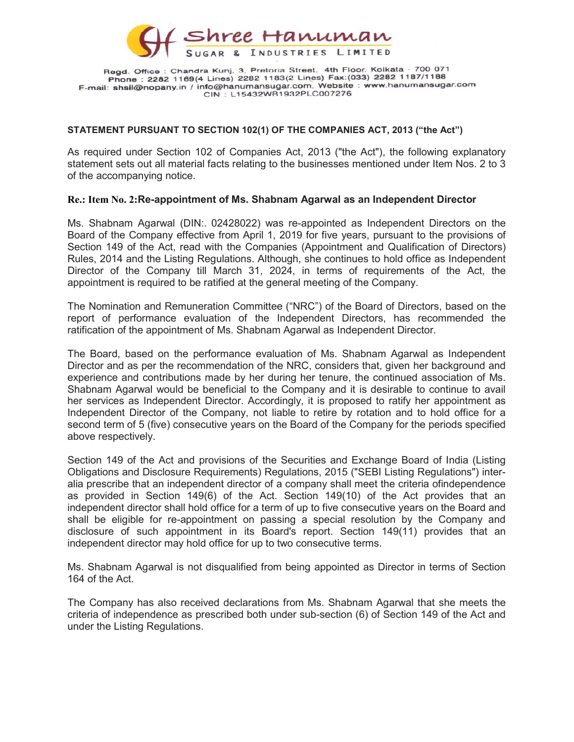

#### STATEMENT PURSUANT TO SECTION 102(1) OF THE COMPANIES ACT, 2013 ("the Act")

As required under Section 102 of Companies Act, 2013 ("the Act"), the following explanatory statement sets out all material facts relating to the businesses mentioned under Item Nos. 2 to 3 of the accompanying notice.

#### Re.: Item No. 2:Re-appointment of Ms. Shabnam Agarwal as an Independent Director

Ms. Shabnam Agarwal (DIN:. 02428022) was re-appointed as Independent Directors on the Board of the Company effective from April 1, 2019 for five years, pursuant to the provisions of Section 149 of the Act, read with the Companies (Appointment and Qualification of Directors) Rules, 2014 and the Listing Regulations. Although, she continues to hold office as Independent Director of the Company till March 31, 2024, in terms of requirements of the Act, the appointment is required to be ratified at the general meeting of the Company.

The Nomination and Remuneration Committee ("NRC") of the Board of Directors, based on the report of performance evaluation of the Independent Directors, has recommended the ratification of the appointment of Ms. Shabnam Agarwal as Independent Director.

The Board, based on the performance evaluation of Ms. Shabnam Agarwal as Independent Director and as per the recommendation of the NRC, considers that, given her background and experience and contributions made by her during her tenure, the continued association of Ms. Shabnam Agarwal would be beneficial to the Company and it is desirable to continue to avail her services as Independent Director. Accordingly, it is proposed to ratify her appointment as Independent Director of the Company, not liable to retire by rotation and to hold office for a second term of 5 (five) consecutive years on the Board of the Company for the periods specified above respectively.

Section 149 of the Act and provisions of the Securities and Exchange Board of India (Listing Obligations and Disclosure Requirements) Regulations, 2015 ("SEBI Listing Regulations") interalia prescribe that an independent director of a company shall meet the criteria ofindependence as provided in Section 149(6) of the Act. Section 149(10) of the Act provides that an independent director shall hold office for a term of up to five consecutive years on the Board and shall be eligible for re-appointment on passing a special resolution by the Company and disclosure of such appointment in its Board's report. Section 149(11) provides that an independent director may hold office for up to two consecutive terms.

Ms. Shabnam Agarwal is not disqualified from being appointed as Director in terms of Section 164 of the Act.

The Company has also received declarations from Ms. Shabnam Agarwal that she meets the criteria of independence as prescribed both under sub-section (6) of Section 149 of the Act and under the Listing Regulations.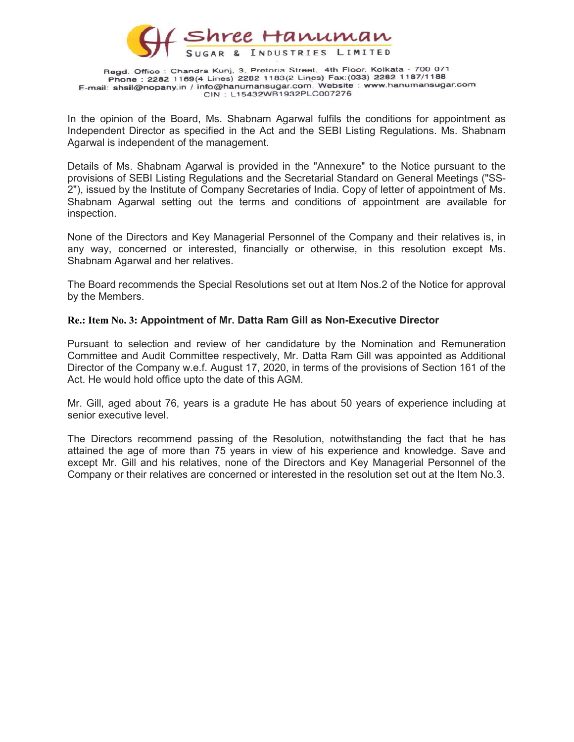

In the opinion of the Board, Ms. Shabnam Agarwal fulfils the conditions for appointment as Independent Director as specified in the Act and the SEBI Listing Regulations. Ms. Shabnam Agarwal is independent of the management.

Details of Ms. Shabnam Agarwal is provided in the "Annexure" to the Notice pursuant to the provisions of SEBI Listing Regulations and the Secretarial Standard on General Meetings ("SS-2"), issued by the Institute of Company Secretaries of India. Copy of letter of appointment of Ms. Shabnam Agarwal setting out the terms and conditions of appointment are available for inspection.

None of the Directors and Key Managerial Personnel of the Company and their relatives is, in any way, concerned or interested, financially or otherwise, in this resolution except Ms. Shabnam Agarwal and her relatives.

The Board recommends the Special Resolutions set out at Item Nos.2 of the Notice for approval by the Members.

#### Re.: Item No. 3: Appointment of Mr. Datta Ram Gill as Non-Executive Director

Pursuant to selection and review of her candidature by the Nomination and Remuneration Committee and Audit Committee respectively, Mr. Datta Ram Gill was appointed as Additional Director of the Company w.e.f. August 17, 2020, in terms of the provisions of Section 161 of the Act. He would hold office upto the date of this AGM.

Mr. Gill, aged about 76, years is a gradute He has about 50 years of experience including at senior executive level.

The Directors recommend passing of the Resolution, notwithstanding the fact that he has attained the age of more than 75 years in view of his experience and knowledge. Save and except Mr. Gill and his relatives, none of the Directors and Key Managerial Personnel of the Company or their relatives are concerned or interested in the resolution set out at the Item No.3.